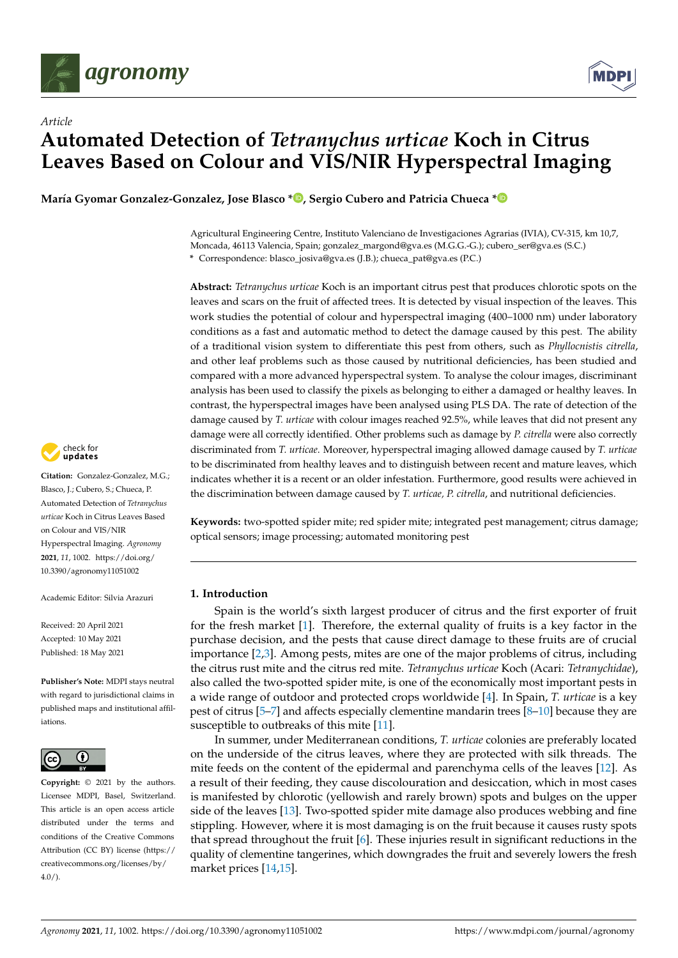



# *Article* **Automated Detection of** *Tetranychus urticae* **Koch in Citrus Leaves Based on Colour and VIS/NIR Hyperspectral Imaging**

**María Gyomar Gonzalez-Gonzalez, Jose Blasco [\\*](https://orcid.org/0000-0002-4562-9668) , Sergio Cubero and Patricia Chueca [\\*](https://orcid.org/0000-0001-9333-8083)**

Agricultural Engineering Centre, Instituto Valenciano de Investigaciones Agrarias (IVIA), CV-315, km 10,7, Moncada, 46113 Valencia, Spain; gonzalez\_margond@gva.es (M.G.G.-G.); cubero\_ser@gva.es (S.C.) **\*** Correspondence: blasco\_josiva@gva.es (J.B.); chueca\_pat@gva.es (P.C.)

**Abstract:** *Tetranychus urticae* Koch is an important citrus pest that produces chlorotic spots on the leaves and scars on the fruit of affected trees. It is detected by visual inspection of the leaves. This work studies the potential of colour and hyperspectral imaging (400–1000 nm) under laboratory conditions as a fast and automatic method to detect the damage caused by this pest. The ability of a traditional vision system to differentiate this pest from others, such as *Phyllocnistis citrella*, and other leaf problems such as those caused by nutritional deficiencies, has been studied and compared with a more advanced hyperspectral system. To analyse the colour images, discriminant analysis has been used to classify the pixels as belonging to either a damaged or healthy leaves. In contrast, the hyperspectral images have been analysed using PLS DA. The rate of detection of the damage caused by *T. urticae* with colour images reached 92.5%, while leaves that did not present any damage were all correctly identified. Other problems such as damage by *P. citrella* were also correctly discriminated from *T. urticae*. Moreover, hyperspectral imaging allowed damage caused by *T. urticae* to be discriminated from healthy leaves and to distinguish between recent and mature leaves, which indicates whether it is a recent or an older infestation. Furthermore, good results were achieved in the discrimination between damage caused by *T. urticae, P. citrella*, and nutritional deficiencies.

Keywords: two-spotted spider mite; red spider mite; integrated pest management; citrus damage; optical sensors; image processing; automated monitoring pest

## **1. Introduction**

Spain is the world's sixth largest producer of citrus and the first exporter of fruit for the fresh market [\[1\]](#page-15-0). Therefore, the external quality of fruits is a key factor in the purchase decision, and the pests that cause direct damage to these fruits are of crucial importance [\[2](#page-15-1)[,3\]](#page-15-2). Among pests, mites are one of the major problems of citrus, including the citrus rust mite and the citrus red mite. *Tetranychus urticae* Koch (Acari: *Tetranychidae*), also called the two-spotted spider mite, is one of the economically most important pests in a wide range of outdoor and protected crops worldwide [\[4\]](#page-15-3). In Spain, *T. urticae* is a key pest of citrus [\[5–](#page-15-4)[7\]](#page-15-5) and affects especially clementine mandarin trees [\[8–](#page-15-6)[10\]](#page-15-7) because they are susceptible to outbreaks of this mite [\[11\]](#page-16-0).

In summer, under Mediterranean conditions, *T. urticae* colonies are preferably located on the underside of the citrus leaves, where they are protected with silk threads. The mite feeds on the content of the epidermal and parenchyma cells of the leaves [\[12\]](#page-16-1). As a result of their feeding, they cause discolouration and desiccation, which in most cases is manifested by chlorotic (yellowish and rarely brown) spots and bulges on the upper side of the leaves [\[13\]](#page-16-2). Two-spotted spider mite damage also produces webbing and fine stippling. However, where it is most damaging is on the fruit because it causes rusty spots that spread throughout the fruit [\[6\]](#page-15-8). These injuries result in significant reductions in the quality of clementine tangerines, which downgrades the fruit and severely lowers the fresh market prices [\[14,](#page-16-3)[15\]](#page-16-4).



**Citation:** Gonzalez-Gonzalez, M.G.; Blasco, J.; Cubero, S.; Chueca, P. Automated Detection of *Tetranychus urticae* Koch in Citrus Leaves Based on Colour and VIS/NIR Hyperspectral Imaging. *Agronomy* **2021**, *11*, 1002. [https://doi.org/](https://doi.org/10.3390/agronomy11051002) [10.3390/agronomy11051002](https://doi.org/10.3390/agronomy11051002)

Academic Editor: Silvia Arazuri

Received: 20 April 2021 Accepted: 10 May 2021 Published: 18 May 2021

**Publisher's Note:** MDPI stays neutral with regard to jurisdictional claims in published maps and institutional affiliations.



**Copyright:** © 2021 by the authors. Licensee MDPI, Basel, Switzerland. This article is an open access article distributed under the terms and conditions of the Creative Commons Attribution (CC BY) license (https:/[/](https://creativecommons.org/licenses/by/4.0/) [creativecommons.org/licenses/by/](https://creativecommons.org/licenses/by/4.0/)  $4.0/$ ).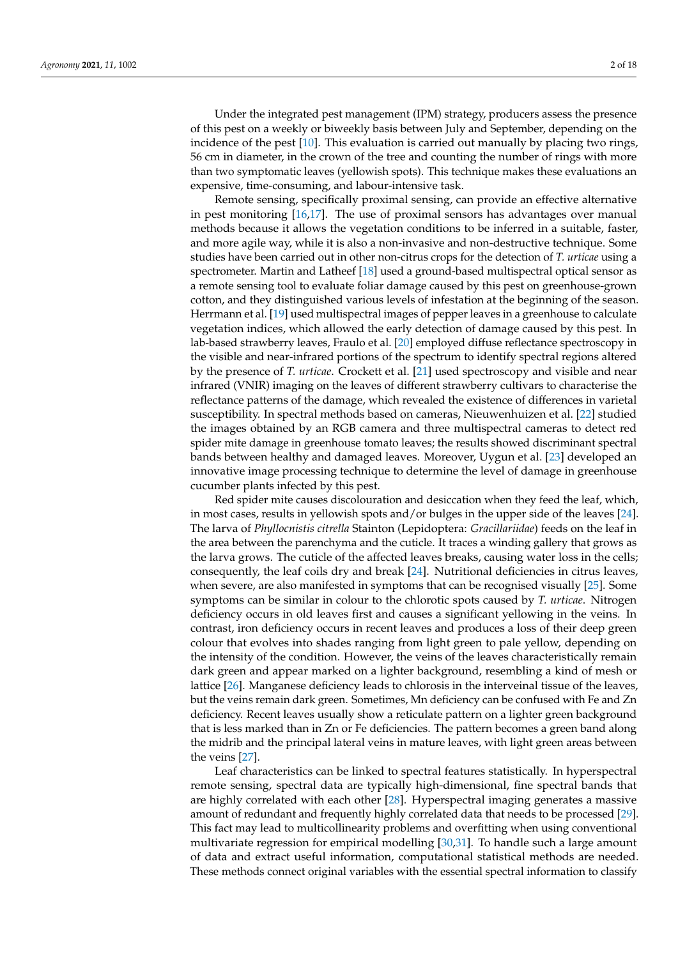Under the integrated pest management (IPM) strategy, producers assess the presence of this pest on a weekly or biweekly basis between July and September, depending on the incidence of the pest [\[10\]](#page-15-7). This evaluation is carried out manually by placing two rings, 56 cm in diameter, in the crown of the tree and counting the number of rings with more than two symptomatic leaves (yellowish spots). This technique makes these evaluations an expensive, time-consuming, and labour-intensive task.

Remote sensing, specifically proximal sensing, can provide an effective alternative in pest monitoring [\[16,](#page-16-5)[17\]](#page-16-6). The use of proximal sensors has advantages over manual methods because it allows the vegetation conditions to be inferred in a suitable, faster, and more agile way, while it is also a non-invasive and non-destructive technique. Some studies have been carried out in other non-citrus crops for the detection of *T. urticae* using a spectrometer. Martin and Latheef [\[18\]](#page-16-7) used a ground-based multispectral optical sensor as a remote sensing tool to evaluate foliar damage caused by this pest on greenhouse-grown cotton, and they distinguished various levels of infestation at the beginning of the season. Herrmann et al. [\[19\]](#page-16-8) used multispectral images of pepper leaves in a greenhouse to calculate vegetation indices, which allowed the early detection of damage caused by this pest. In lab-based strawberry leaves, Fraulo et al. [\[20\]](#page-16-9) employed diffuse reflectance spectroscopy in the visible and near-infrared portions of the spectrum to identify spectral regions altered by the presence of *T. urticae*. Crockett et al. [\[21\]](#page-16-10) used spectroscopy and visible and near infrared (VNIR) imaging on the leaves of different strawberry cultivars to characterise the reflectance patterns of the damage, which revealed the existence of differences in varietal susceptibility. In spectral methods based on cameras, Nieuwenhuizen et al. [\[22\]](#page-16-11) studied the images obtained by an RGB camera and three multispectral cameras to detect red spider mite damage in greenhouse tomato leaves; the results showed discriminant spectral bands between healthy and damaged leaves. Moreover, Uygun et al. [\[23\]](#page-16-12) developed an innovative image processing technique to determine the level of damage in greenhouse cucumber plants infected by this pest.

Red spider mite causes discolouration and desiccation when they feed the leaf, which, in most cases, results in yellowish spots and/or bulges in the upper side of the leaves [\[24\]](#page-16-13). The larva of *Phyllocnistis citrella* Stainton (Lepidoptera: *Gracillariidae*) feeds on the leaf in the area between the parenchyma and the cuticle. It traces a winding gallery that grows as the larva grows. The cuticle of the affected leaves breaks, causing water loss in the cells; consequently, the leaf coils dry and break [\[24\]](#page-16-13). Nutritional deficiencies in citrus leaves, when severe, are also manifested in symptoms that can be recognised visually [\[25\]](#page-16-14). Some symptoms can be similar in colour to the chlorotic spots caused by *T. urticae*. Nitrogen deficiency occurs in old leaves first and causes a significant yellowing in the veins. In contrast, iron deficiency occurs in recent leaves and produces a loss of their deep green colour that evolves into shades ranging from light green to pale yellow, depending on the intensity of the condition. However, the veins of the leaves characteristically remain dark green and appear marked on a lighter background, resembling a kind of mesh or lattice [\[26\]](#page-16-15). Manganese deficiency leads to chlorosis in the interveinal tissue of the leaves, but the veins remain dark green. Sometimes, Mn deficiency can be confused with Fe and Zn deficiency. Recent leaves usually show a reticulate pattern on a lighter green background that is less marked than in Zn or Fe deficiencies. The pattern becomes a green band along the midrib and the principal lateral veins in mature leaves, with light green areas between the veins [\[27\]](#page-16-16).

Leaf characteristics can be linked to spectral features statistically. In hyperspectral remote sensing, spectral data are typically high-dimensional, fine spectral bands that are highly correlated with each other [\[28\]](#page-16-17). Hyperspectral imaging generates a massive amount of redundant and frequently highly correlated data that needs to be processed [\[29\]](#page-16-18). This fact may lead to multicollinearity problems and overfitting when using conventional multivariate regression for empirical modelling [\[30,](#page-16-19)[31\]](#page-16-20). To handle such a large amount of data and extract useful information, computational statistical methods are needed. These methods connect original variables with the essential spectral information to classify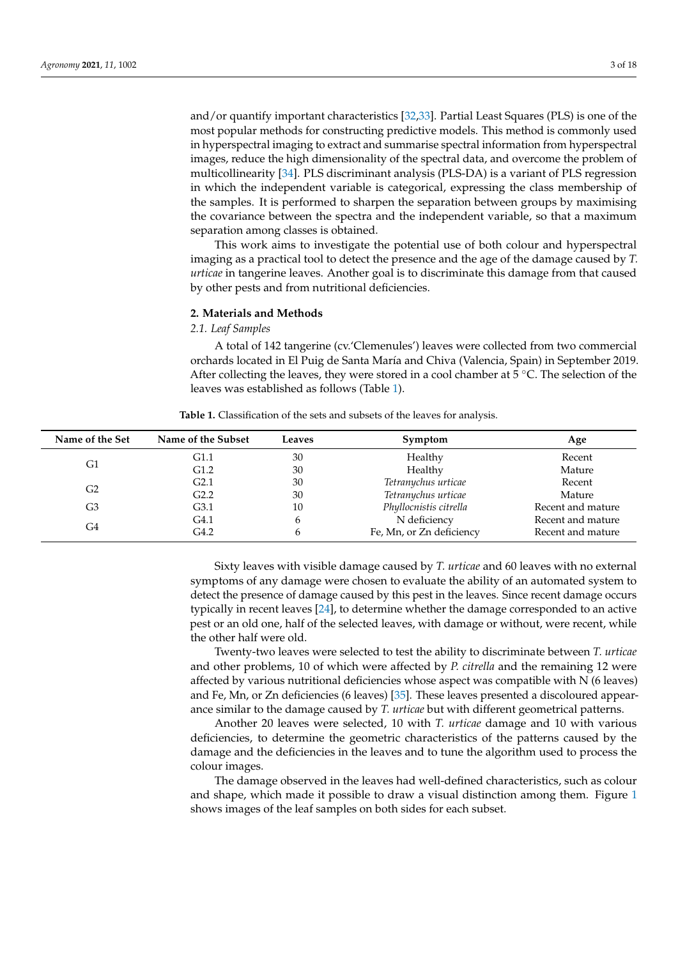and/or quantify important characteristics [\[32](#page-16-21)[,33\]](#page-16-22). Partial Least Squares (PLS) is one of the most popular methods for constructing predictive models. This method is commonly used in hyperspectral imaging to extract and summarise spectral information from hyperspectral images, reduce the high dimensionality of the spectral data, and overcome the problem of multicollinearity [\[34\]](#page-16-23). PLS discriminant analysis (PLS-DA) is a variant of PLS regression in which the independent variable is categorical, expressing the class membership of the samples. It is performed to sharpen the separation between groups by maximising the covariance between the spectra and the independent variable, so that a maximum

This work aims to investigate the potential use of both colour and hyperspectral imaging as a practical tool to detect the presence and the age of the damage caused by *T. urticae* in tangerine leaves. Another goal is to discriminate this damage from that caused by other pests and from nutritional deficiencies.

#### **2. Materials and Methods**

separation among classes is obtained.

*2.1. Leaf Samples*

A total of 142 tangerine (cv.'Clemenules') leaves were collected from two commercial orchards located in El Puig de Santa María and Chiva (Valencia, Spain) in September 2019. After collecting the leaves, they were stored in a cool chamber at  $5^{\circ}$ C. The selection of the leaves was established as follows (Table [1\)](#page-2-0).

**Table 1.** Classification of the sets and subsets of the leaves for analysis.

<span id="page-2-0"></span>

| Name of the Set | Name of the Subset | Leaves      | Symptom                  | Age               |  |
|-----------------|--------------------|-------------|--------------------------|-------------------|--|
|                 | G1.1               | 30          | Healthy                  | Recent            |  |
| G1              | G <sub>1.2</sub>   | 30          | Healthy                  | Mature            |  |
|                 | G2.1               | 30          | Tetranychus urticae      | Recent            |  |
| G2              | G2.2               | 30          | Tetranychus urticae      | Mature            |  |
| G3              | G3.1               | 10          | Phyllocnistis citrella   | Recent and mature |  |
|                 | G4.1               | 6           | N deficiency             | Recent and mature |  |
| G4              | G4.2               | $\mathbf b$ | Fe, Mn, or Zn deficiency | Recent and mature |  |

Sixty leaves with visible damage caused by *T. urticae* and 60 leaves with no external symptoms of any damage were chosen to evaluate the ability of an automated system to detect the presence of damage caused by this pest in the leaves. Since recent damage occurs typically in recent leaves [\[24\]](#page-16-13), to determine whether the damage corresponded to an active pest or an old one, half of the selected leaves, with damage or without, were recent, while the other half were old.

Twenty-two leaves were selected to test the ability to discriminate between *T. urticae* and other problems, 10 of which were affected by *P. citrella* and the remaining 12 were affected by various nutritional deficiencies whose aspect was compatible with N (6 leaves) and Fe, Mn, or Zn deficiencies (6 leaves) [\[35\]](#page-16-24). These leaves presented a discoloured appearance similar to the damage caused by *T. urticae* but with different geometrical patterns.

Another 20 leaves were selected, 10 with *T. urticae* damage and 10 with various deficiencies, to determine the geometric characteristics of the patterns caused by the damage and the deficiencies in the leaves and to tune the algorithm used to process the colour images.

The damage observed in the leaves had well-defined characteristics, such as colour and shape, which made it possible to draw a visual distinction among them. Figure [1](#page-3-0) shows images of the leaf samples on both sides for each subset.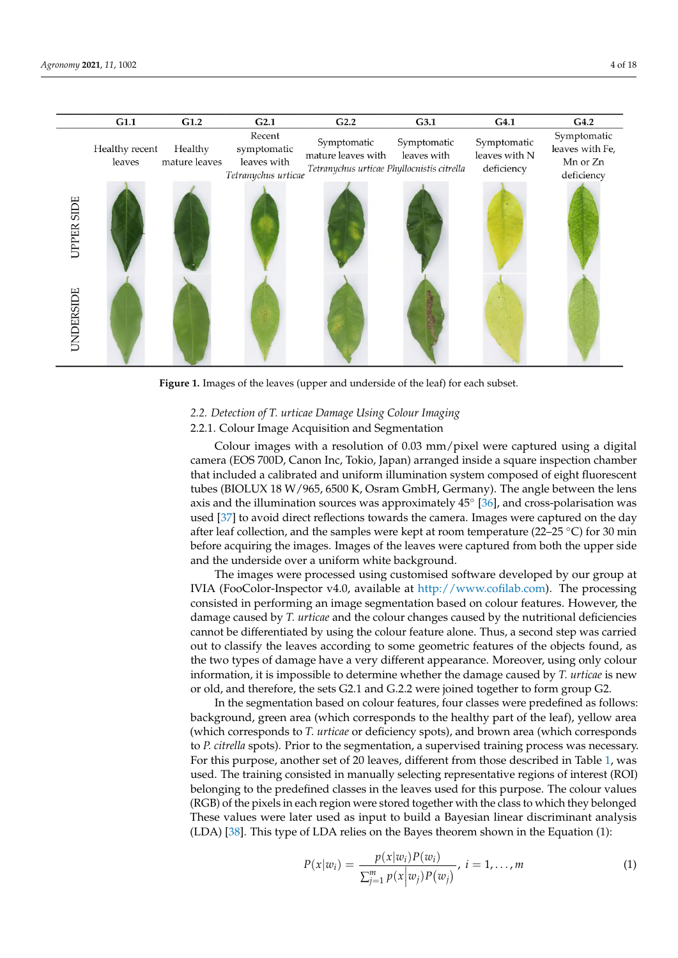<span id="page-3-0"></span>

**Figure 1.** Images of the leaves (upper and underside of the leaf) for each subset.

#### *2.2. Detection of T. urticae Damage Using Colour Imaging*

# 2.2.1. Colour Image Acquisition and Segmentation

Colour images with a resolution of 0.03 mm/pixel were captured using a digital camera (EOS 700D, Canon Inc, Tokio, Japan) arranged inside a square inspection chamber that included a calibrated and uniform illumination system composed of eight fluorescent tubes (BIOLUX 18 W/965, 6500 K, Osram GmbH, Germany). The angle between the lens axis and the illumination sources was approximately  $45^{\circ}$  [\[36\]](#page-16-25), and cross-polarisation was used [\[37\]](#page-16-26) to avoid direct reflections towards the camera. Images were captured on the day after leaf collection, and the samples were kept at room temperature (22–25  $\degree$ C) for 30 min before acquiring the images. Images of the leaves were captured from both the upper side and the underside over a uniform white background.

The images were processed using customised software developed by our group at IVIA (FooColor-Inspector v4.0, available at [http://www.cofilab.com\)](http://www.cofilab.com). The processing consisted in performing an image segmentation based on colour features. However, the damage caused by *T. urticae* and the colour changes caused by the nutritional deficiencies cannot be differentiated by using the colour feature alone. Thus, a second step was carried out to classify the leaves according to some geometric features of the objects found, as the two types of damage have a very different appearance. Moreover, using only colour information, it is impossible to determine whether the damage caused by *T. urticae* is new or old, and therefore, the sets G2.1 and G.2.2 were joined together to form group G2.

In the segmentation based on colour features, four classes were predefined as follows: background, green area (which corresponds to the healthy part of the leaf), yellow area (which corresponds to *T. urticae* or deficiency spots), and brown area (which corresponds to *P. citrella* spots). Prior to the segmentation, a supervised training process was necessary. For this purpose, another set of 20 leaves, different from those described in Table [1,](#page-2-0) was used. The training consisted in manually selecting representative regions of interest (ROI) belonging to the predefined classes in the leaves used for this purpose. The colour values (RGB) of the pixels in each region were stored together with the class to which they belonged These values were later used as input to build a Bayesian linear discriminant analysis (LDA) [\[38\]](#page-16-27). This type of LDA relies on the Bayes theorem shown in the Equation (1):

$$
P(x|w_i) = \frac{p(x|w_i)P(w_i)}{\sum_{j=1}^{m} p(x|w_j)P(w_j)}, \ i = 1,...,m
$$
 (1)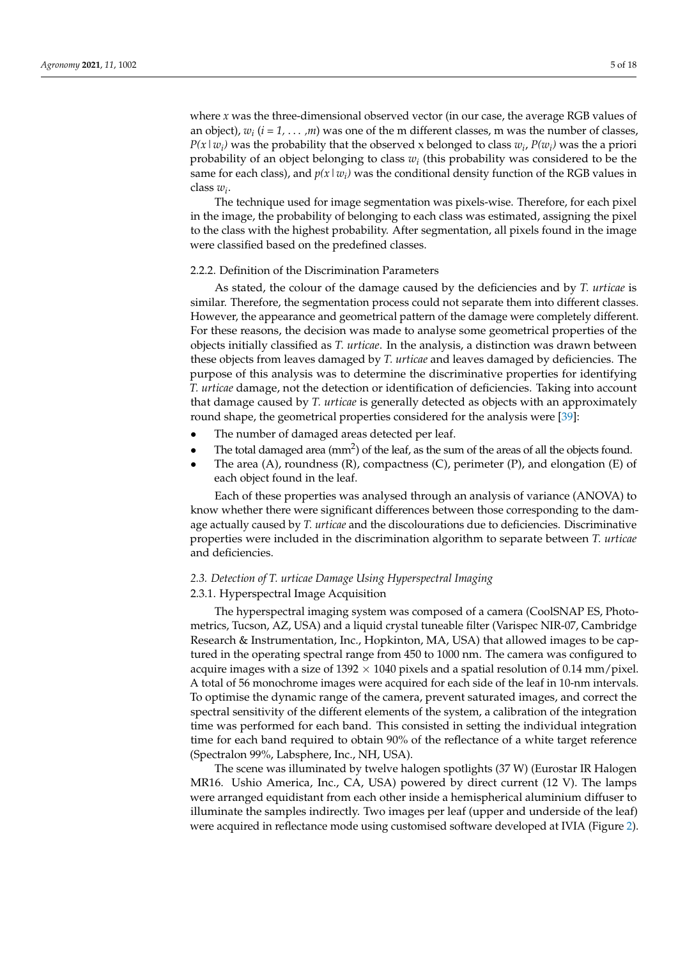where *x* was the three-dimensional observed vector (in our case, the average RGB values of an object), *w<sup>i</sup>* (*i = 1,* . . . *,m*) was one of the m different classes, m was the number of classes, *P*( $x | w_i$ ) was the probability that the observed x belonged to class  $w_i$ ,  $P(w_i)$  was the a priori probability of an object belonging to class *w<sup>i</sup>* (this probability was considered to be the same for each class), and  $p(x | w_i)$  was the conditional density function of the RGB values in class *w<sup>i</sup>* .

The technique used for image segmentation was pixels-wise. Therefore, for each pixel in the image, the probability of belonging to each class was estimated, assigning the pixel to the class with the highest probability. After segmentation, all pixels found in the image were classified based on the predefined classes.

#### 2.2.2. Definition of the Discrimination Parameters

As stated, the colour of the damage caused by the deficiencies and by *T. urticae* is similar. Therefore, the segmentation process could not separate them into different classes. However, the appearance and geometrical pattern of the damage were completely different. For these reasons, the decision was made to analyse some geometrical properties of the objects initially classified as *T. urticae*. In the analysis, a distinction was drawn between these objects from leaves damaged by *T. urticae* and leaves damaged by deficiencies. The purpose of this analysis was to determine the discriminative properties for identifying *T. urticae* damage, not the detection or identification of deficiencies. Taking into account that damage caused by *T. urticae* is generally detected as objects with an approximately round shape, the geometrical properties considered for the analysis were [\[39\]](#page-16-28):

- The number of damaged areas detected per leaf.
- The total damaged area (mm<sup>2</sup>) of the leaf, as the sum of the areas of all the objects found.
- The area  $(A)$ , roundness  $(R)$ , compactness  $(C)$ , perimeter  $(P)$ , and elongation  $(E)$  of each object found in the leaf.

Each of these properties was analysed through an analysis of variance (ANOVA) to know whether there were significant differences between those corresponding to the damage actually caused by *T. urticae* and the discolourations due to deficiencies. Discriminative properties were included in the discrimination algorithm to separate between *T. urticae* and deficiencies.

# *2.3. Detection of T. urticae Damage Using Hyperspectral Imaging*

## 2.3.1. Hyperspectral Image Acquisition

The hyperspectral imaging system was composed of a camera (CoolSNAP ES, Photometrics, Tucson, AZ, USA) and a liquid crystal tuneable filter (Varispec NIR-07, Cambridge Research & Instrumentation, Inc., Hopkinton, MA, USA) that allowed images to be captured in the operating spectral range from 450 to 1000 nm. The camera was configured to acquire images with a size of  $1392 \times 1040$  pixels and a spatial resolution of 0.14 mm/pixel. A total of 56 monochrome images were acquired for each side of the leaf in 10-nm intervals. To optimise the dynamic range of the camera, prevent saturated images, and correct the spectral sensitivity of the different elements of the system, a calibration of the integration time was performed for each band. This consisted in setting the individual integration time for each band required to obtain 90% of the reflectance of a white target reference (Spectralon 99%, Labsphere, Inc., NH, USA).

The scene was illuminated by twelve halogen spotlights (37 W) (Eurostar IR Halogen MR16. Ushio America, Inc., CA, USA) powered by direct current (12 V). The lamps were arranged equidistant from each other inside a hemispherical aluminium diffuser to illuminate the samples indirectly. Two images per leaf (upper and underside of the leaf) were acquired in reflectance mode using customised software developed at IVIA (Figure [2\)](#page-5-0).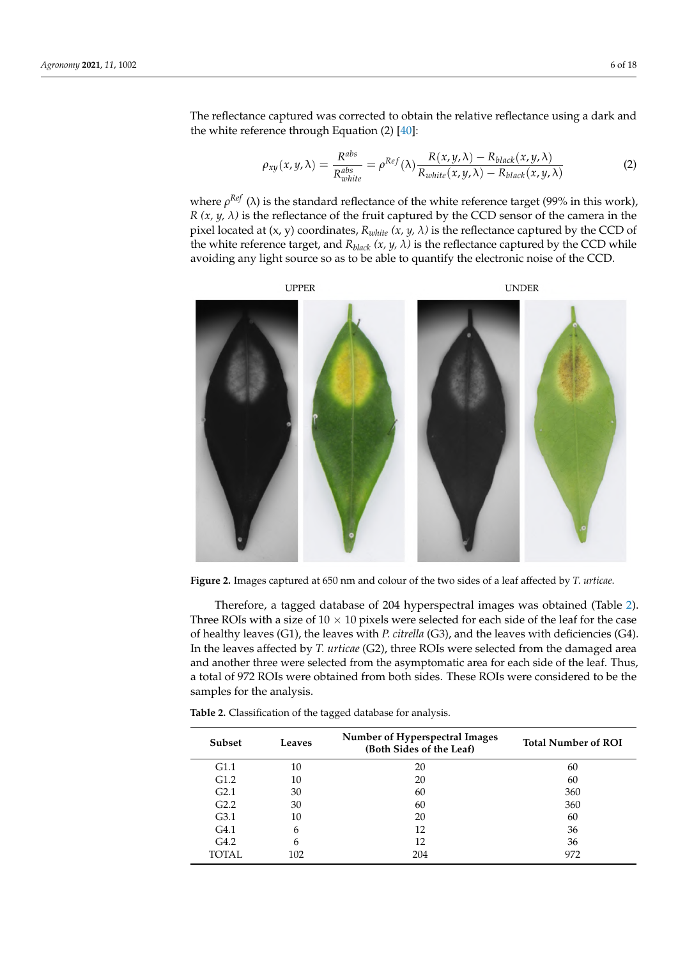The reflectance captured was corrected to obtain the relative reflectance using a dark and the white reference through Equation (2) [\[40\]](#page-17-0):

$$
\rho_{xy}(x,y,\lambda) = \frac{R^{abs}}{R_{white}^{abs}} = \rho^{Ref}(\lambda) \frac{R(x,y,\lambda) - R_{black}(x,y,\lambda)}{R_{white}(x,y,\lambda) - R_{black}(x,y,\lambda)}
$$
(2)

where *ρ<sup>Ref</sup>* (λ) is the standard reflectance of the white reference target (99% in this work), *R*  $(x, y, \lambda)$  is the reflectance of the fruit captured by the CCD sensor of the camera in the pixel located at  $(x, y)$  coordinates,  $R_{white}$   $(x, y, \lambda)$  is the reflectance captured by the CCD of the white reference target, and  $R_{black}$   $(x, y, \lambda)$  is the reflectance captured by the CCD while avoiding any light source so as to be able to quantify the electronic noise of the CCD.

<span id="page-5-0"></span>

**Figure 2.** Images captured at 650 nm and colour of the two sides of a leaf affected by *T. urticae*.

Therefore, a tagged database of 204 hyperspectral images was obtained (Table [2\)](#page-5-1). Three ROIs with a size of  $10 \times 10$  pixels were selected for each side of the leaf for the case of healthy leaves (G1), the leaves with *P. citrella* (G3), and the leaves with deficiencies (G4). In the leaves affected by *T. urticae* (G2), three ROIs were selected from the damaged area and another three were selected from the asymptomatic area for each side of the leaf. Thus, a total of 972 ROIs were obtained from both sides. These ROIs were considered to be the samples for the analysis.

**Subset Leaves Number of Hyperspectral Images (Both Sides of the Leaf) Total Number of ROI** G1.1 10 20 50 G1.2 10 20 20 60 G2.1  $30 \t\t 60 \t\t 360$ G2.2  $30$  60  $360$  $G3.1$  10 20 60 G4.1 6  $12$  36 G4.2 6 12 36 TOTAL 102 204 972

<span id="page-5-1"></span>**Table 2.** Classification of the tagged database for analysis.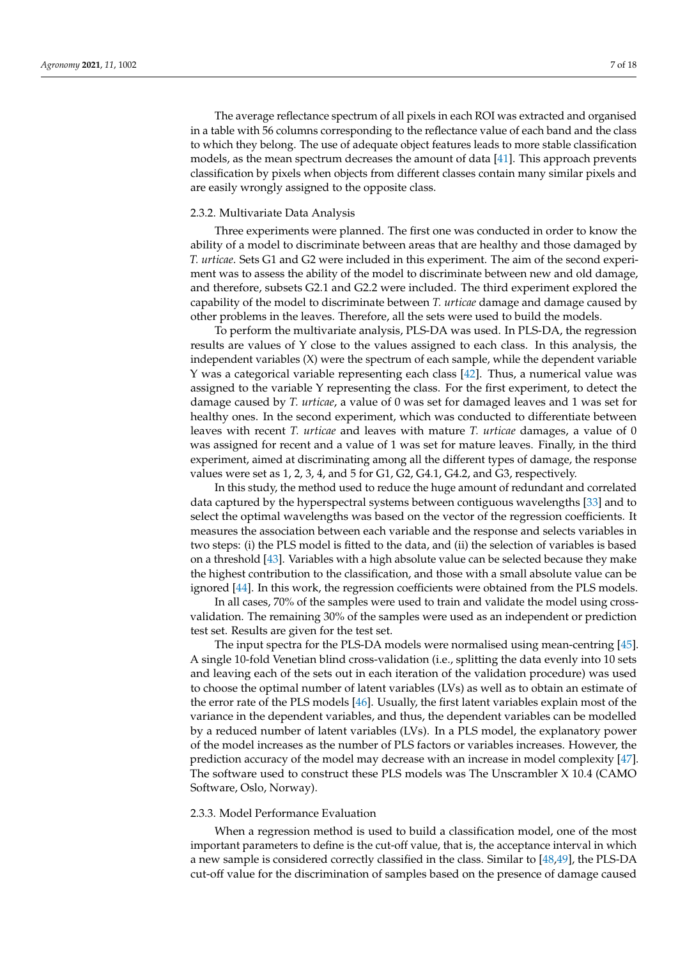The average reflectance spectrum of all pixels in each ROI was extracted and organised in a table with 56 columns corresponding to the reflectance value of each band and the class to which they belong. The use of adequate object features leads to more stable classification models, as the mean spectrum decreases the amount of data [\[41\]](#page-17-1). This approach prevents classification by pixels when objects from different classes contain many similar pixels and are easily wrongly assigned to the opposite class.

#### 2.3.2. Multivariate Data Analysis

Three experiments were planned. The first one was conducted in order to know the ability of a model to discriminate between areas that are healthy and those damaged by *T. urticae*. Sets G1 and G2 were included in this experiment. The aim of the second experiment was to assess the ability of the model to discriminate between new and old damage, and therefore, subsets G2.1 and G2.2 were included. The third experiment explored the capability of the model to discriminate between *T. urticae* damage and damage caused by other problems in the leaves. Therefore, all the sets were used to build the models.

To perform the multivariate analysis, PLS-DA was used. In PLS-DA, the regression results are values of Y close to the values assigned to each class. In this analysis, the independent variables (X) were the spectrum of each sample, while the dependent variable Y was a categorical variable representing each class [\[42\]](#page-17-2). Thus, a numerical value was assigned to the variable Y representing the class. For the first experiment, to detect the damage caused by *T. urticae*, a value of 0 was set for damaged leaves and 1 was set for healthy ones. In the second experiment, which was conducted to differentiate between leaves with recent *T. urticae* and leaves with mature *T. urticae* damages, a value of 0 was assigned for recent and a value of 1 was set for mature leaves. Finally, in the third experiment, aimed at discriminating among all the different types of damage, the response values were set as 1, 2, 3, 4, and 5 for G1, G2, G4.1, G4.2, and G3, respectively.

In this study, the method used to reduce the huge amount of redundant and correlated data captured by the hyperspectral systems between contiguous wavelengths [\[33\]](#page-16-22) and to select the optimal wavelengths was based on the vector of the regression coefficients. It measures the association between each variable and the response and selects variables in two steps: (i) the PLS model is fitted to the data, and (ii) the selection of variables is based on a threshold [\[43\]](#page-17-3). Variables with a high absolute value can be selected because they make the highest contribution to the classification, and those with a small absolute value can be ignored [\[44\]](#page-17-4). In this work, the regression coefficients were obtained from the PLS models.

In all cases, 70% of the samples were used to train and validate the model using crossvalidation. The remaining 30% of the samples were used as an independent or prediction test set. Results are given for the test set.

The input spectra for the PLS-DA models were normalised using mean-centring [\[45\]](#page-17-5). A single 10-fold Venetian blind cross-validation (i.e., splitting the data evenly into 10 sets and leaving each of the sets out in each iteration of the validation procedure) was used to choose the optimal number of latent variables (LVs) as well as to obtain an estimate of the error rate of the PLS models [\[46\]](#page-17-6). Usually, the first latent variables explain most of the variance in the dependent variables, and thus, the dependent variables can be modelled by a reduced number of latent variables (LVs). In a PLS model, the explanatory power of the model increases as the number of PLS factors or variables increases. However, the prediction accuracy of the model may decrease with an increase in model complexity [\[47\]](#page-17-7). The software used to construct these PLS models was The Unscrambler X 10.4 (CAMO Software, Oslo, Norway).

#### 2.3.3. Model Performance Evaluation

When a regression method is used to build a classification model, one of the most important parameters to define is the cut-off value, that is, the acceptance interval in which a new sample is considered correctly classified in the class. Similar to [\[48,](#page-17-8)[49\]](#page-17-9), the PLS-DA cut-off value for the discrimination of samples based on the presence of damage caused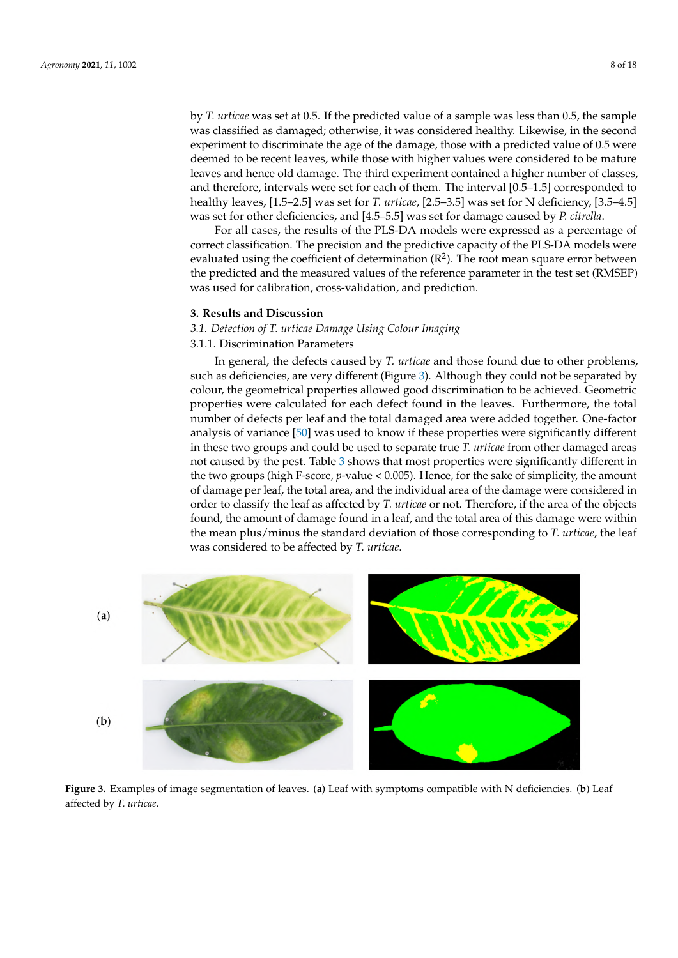by *T. urticae* was set at 0.5. If the predicted value of a sample was less than 0.5, the sample was classified as damaged; otherwise, it was considered healthy. Likewise, in the second experiment to discriminate the age of the damage, those with a predicted value of 0.5 were deemed to be recent leaves, while those with higher values were considered to be mature leaves and hence old damage. The third experiment contained a higher number of classes, and therefore, intervals were set for each of them. The interval [0.5–1.5] corresponded to healthy leaves, [1.5–2.5] was set for *T. urticae*, [2.5–3.5] was set for N deficiency, [3.5–4.5] was set for other deficiencies, and [4.5–5.5] was set for damage caused by *P. citrella*.

For all cases, the results of the PLS-DA models were expressed as a percentage of correct classification. The precision and the predictive capacity of the PLS-DA models were evaluated using the coefficient of determination  $(R^2)$ . The root mean square error between the predicted and the measured values of the reference parameter in the test set (RMSEP) was used for calibration, cross-validation, and prediction.

#### **3. Results and Discussion**

# *3.1. Detection of T. urticae Damage Using Colour Imaging*

3.1.1. Discrimination Parameters

In general, the defects caused by *T. urticae* and those found due to other problems, such as deficiencies, are very different (Figure [3\)](#page-7-0). Although they could not be separated by colour, the geometrical properties allowed good discrimination to be achieved. Geometric properties were calculated for each defect found in the leaves. Furthermore, the total number of defects per leaf and the total damaged area were added together. One-factor analysis of variance [\[50\]](#page-17-10) was used to know if these properties were significantly different in these two groups and could be used to separate true *T. urticae* from other damaged areas not caused by the pest. Table [3](#page-8-0) shows that most properties were significantly different in the two groups (high F-score, *p*-value < 0.005). Hence, for the sake of simplicity, the amount of damage per leaf, the total area, and the individual area of the damage were considered in order to classify the leaf as affected by *T. urticae* or not. Therefore, if the area of the objects found, the amount of damage found in a leaf, and the total area of this damage were within the mean plus/minus the standard deviation of those corresponding to *T. urticae*, the leaf was considered to be affected by *T. urticae*.

<span id="page-7-0"></span>

**Figure 3.** Examples of image segmentation of leaves. (**a**) Leaf with symptoms compatible with N deficiencies. (**b**) Leaf affected by *T. urticae*.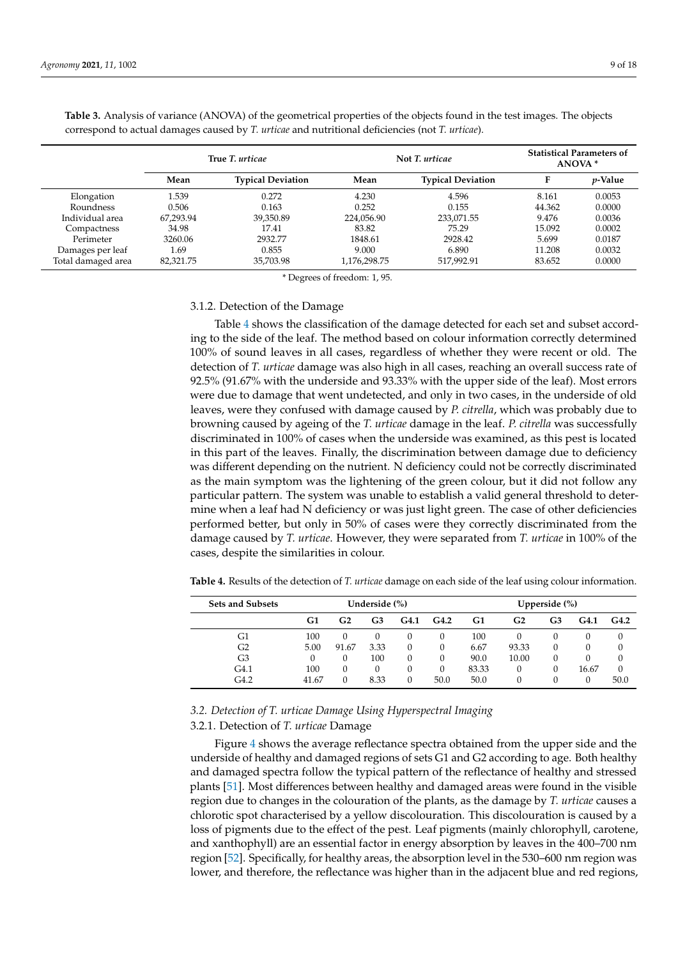|                    |           | True T. urticae          |              | Not T. urticae           | <b>Statistical Parameters of</b><br>ANOVA <sup>*</sup> |            |
|--------------------|-----------|--------------------------|--------------|--------------------------|--------------------------------------------------------|------------|
|                    | Mean      | <b>Typical Deviation</b> | Mean         | <b>Typical Deviation</b> | F                                                      | $p$ -Value |
| Elongation         | 1.539     | 0.272                    | 4.230        | 4.596                    | 8.161                                                  | 0.0053     |
| Roundness          | 0.506     | 0.163                    | 0.252        | 0.155                    | 44.362                                                 | 0.0000     |
| Individual area    | 67.293.94 | 39.350.89                | 224.056.90   | 233,071.55               | 9.476                                                  | 0.0036     |
| Compactness        | 34.98     | 17.41                    | 83.82        | 75.29                    | 15.092                                                 | 0.0002     |
| Perimeter          | 3260.06   | 2932.77                  | 1848.61      | 2928.42                  | 5.699                                                  | 0.0187     |
| Damages per leaf   | 1.69      | 0.855                    | 9.000        | 6.890                    | 11.208                                                 | 0.0032     |
| Total damaged area | 82,321.75 | 35.703.98                | 1,176,298.75 | 517,992.91               | 83.652                                                 | 0.0000     |

<span id="page-8-0"></span>**Table 3.** Analysis of variance (ANOVA) of the geometrical properties of the objects found in the test images. The objects correspond to actual damages caused by *T. urticae* and nutritional deficiencies (not *T. urticae*).

\* Degrees of freedom: 1, 95.

#### 3.1.2. Detection of the Damage

Table [4](#page-8-1) shows the classification of the damage detected for each set and subset according to the side of the leaf. The method based on colour information correctly determined 100% of sound leaves in all cases, regardless of whether they were recent or old. The detection of *T. urticae* damage was also high in all cases, reaching an overall success rate of 92.5% (91.67% with the underside and 93.33% with the upper side of the leaf). Most errors were due to damage that went undetected, and only in two cases, in the underside of old leaves, were they confused with damage caused by *P. citrella*, which was probably due to browning caused by ageing of the *T. urticae* damage in the leaf. *P. citrella* was successfully discriminated in 100% of cases when the underside was examined, as this pest is located in this part of the leaves. Finally, the discrimination between damage due to deficiency was different depending on the nutrient. N deficiency could not be correctly discriminated as the main symptom was the lightening of the green colour, but it did not follow any particular pattern. The system was unable to establish a valid general threshold to determine when a leaf had N deficiency or was just light green. The case of other deficiencies performed better, but only in 50% of cases were they correctly discriminated from the damage caused by *T. urticae*. However, they were separated from *T. urticae* in 100% of the cases, despite the similarities in colour.

| <b>Sets and Subsets</b> | Underside (%) |          |          | Upperside $(\%)$ |      |       |          |              |       |      |
|-------------------------|---------------|----------|----------|------------------|------|-------|----------|--------------|-------|------|
|                         | G1            | G2       | G3       | G4.1             | G4.2 | G1    | G2       | G3           | G4.1  | G4.2 |
| G1                      | 100           | $\theta$ | $\theta$ | 0                | 0    | 100   | $\theta$ | $\mathbf{0}$ |       | 0    |
| G2                      | 5.00          | 91.67    | 3.33     |                  |      | 6.67  | 93.33    |              |       | 0    |
| G3                      |               | 0        | 100      | 0                | 0    | 90.0  | 10.00    |              |       | 0    |
| G4.1                    | 100           | 0        | 0        |                  | 0    | 83.33 | 0        |              | 16.67 | 0    |
| G4.2                    | 41.67         | 0        | 8.33     | 0                | 50.0 | 50.0  | $\theta$ |              |       | 50.0 |

<span id="page-8-1"></span>**Table 4.** Results of the detection of *T. urticae* damage on each side of the leaf using colour information.

## *3.2. Detection of T. urticae Damage Using Hyperspectral Imaging*

# 3.2.1. Detection of *T. urticae* Damage

Figure [4](#page-9-0) shows the average reflectance spectra obtained from the upper side and the underside of healthy and damaged regions of sets G1 and G2 according to age. Both healthy and damaged spectra follow the typical pattern of the reflectance of healthy and stressed plants [\[51\]](#page-17-11). Most differences between healthy and damaged areas were found in the visible region due to changes in the colouration of the plants, as the damage by *T. urticae* causes a chlorotic spot characterised by a yellow discolouration. This discolouration is caused by a loss of pigments due to the effect of the pest. Leaf pigments (mainly chlorophyll, carotene, and xanthophyll) are an essential factor in energy absorption by leaves in the 400–700 nm region [\[52\]](#page-17-12). Specifically, for healthy areas, the absorption level in the 530–600 nm region was lower, and therefore, the reflectance was higher than in the adjacent blue and red regions,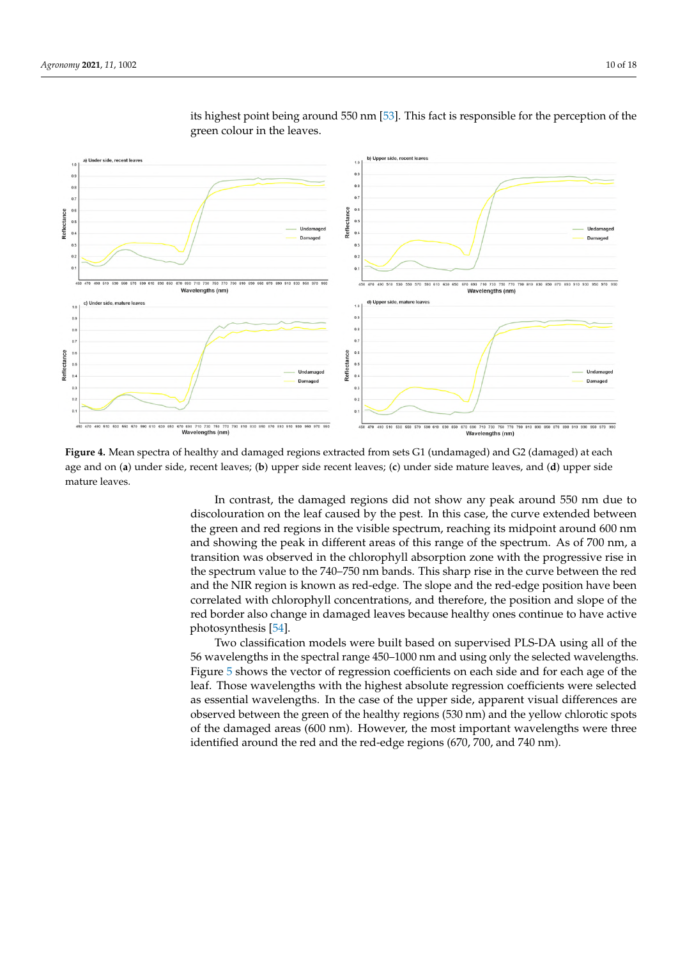<span id="page-9-0"></span>

its highest point being around 550 nm [\[53\]](#page-17-13). This fact is responsible for the perception of the green colour in the leaves.

**Figure 4.** Mean spectra of healthy and damaged regions extracted from sets G1 (undamaged) and G2 (damaged) at each age and on (**a**) under side, recent leaves; (**b**) upper side recent leaves; (**c**) under side mature leaves, and (**d**) upper side mature leaves.

> In contrast, the damaged regions did not show any peak around 550 nm due to discolouration on the leaf caused by the pest. In this case, the curve extended between the green and red regions in the visible spectrum, reaching its midpoint around 600 nm and showing the peak in different areas of this range of the spectrum. As of 700 nm, a transition was observed in the chlorophyll absorption zone with the progressive rise in the spectrum value to the 740–750 nm bands. This sharp rise in the curve between the red and the NIR region is known as red-edge. The slope and the red-edge position have been correlated with chlorophyll concentrations, and therefore, the position and slope of the red border also change in damaged leaves because healthy ones continue to have active photosynthesis [\[54\]](#page-17-14).

> Two classification models were built based on supervised PLS-DA using all of the 56 wavelengths in the spectral range 450–1000 nm and using only the selected wavelengths. Figure [5](#page-10-0) shows the vector of regression coefficients on each side and for each age of the leaf. Those wavelengths with the highest absolute regression coefficients were selected as essential wavelengths. In the case of the upper side, apparent visual differences are observed between the green of the healthy regions (530 nm) and the yellow chlorotic spots of the damaged areas (600 nm). However, the most important wavelengths were three identified around the red and the red-edge regions (670, 700, and 740 nm).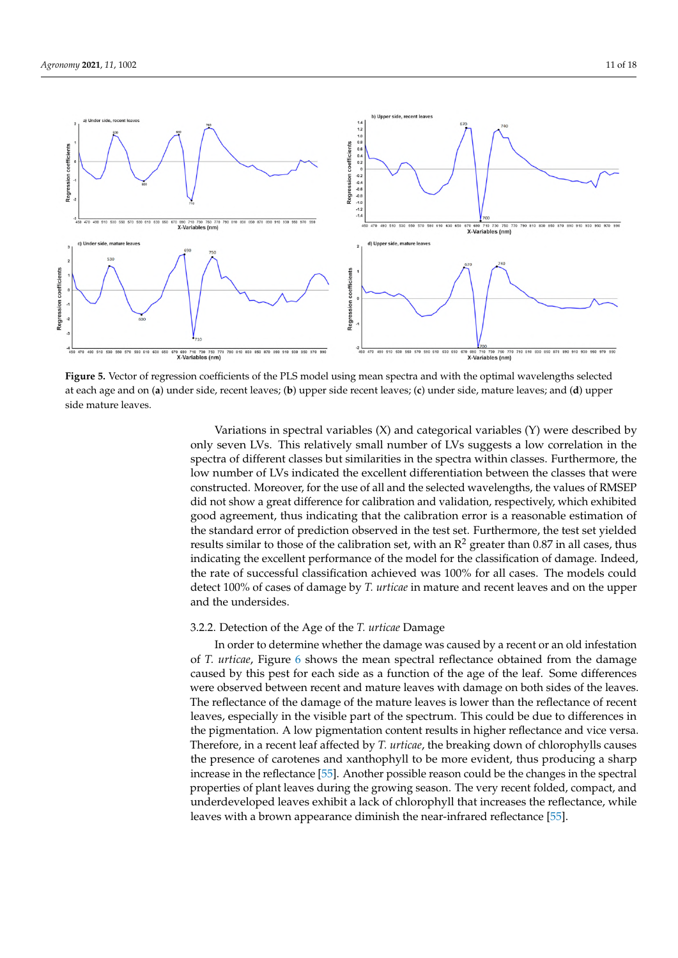<span id="page-10-0"></span>

**Figure 5.** Vector of regression coefficients of the PLS model using mean spectra and with the optimal wavelengths selected at each age and on (**a**) under side, recent leaves; (**b**) upper side recent leaves; (**c**) under side, mature leaves; and (**d**) upper side mature leaves.

Variations in spectral variables (X) and categorical variables (Y) were described by only seven LVs. This relatively small number of LVs suggests a low correlation in the spectra of different classes but similarities in the spectra within classes. Furthermore, the low number of LVs indicated the excellent differentiation between the classes that were constructed. Moreover, for the use of all and the selected wavelengths, the values of RMSEP did not show a great difference for calibration and validation, respectively, which exhibited good agreement, thus indicating that the calibration error is a reasonable estimation of the standard error of prediction observed in the test set. Furthermore, the test set yielded results similar to those of the calibration set, with an  $\mathbb{R}^2$  greater than 0.87 in all cases, thus indicating the excellent performance of the model for the classification of damage. Indeed, the rate of successful classification achieved was 100% for all cases. The models could detect 100% of cases of damage by *T. urticae* in mature and recent leaves and on the upper and the undersides.

## 3.2.2. Detection of the Age of the *T. urticae* Damage

In order to determine whether the damage was caused by a recent or an old infestation of *T. urticae*, Figure [6](#page-11-0) shows the mean spectral reflectance obtained from the damage caused by this pest for each side as a function of the age of the leaf. Some differences were observed between recent and mature leaves with damage on both sides of the leaves. The reflectance of the damage of the mature leaves is lower than the reflectance of recent leaves, especially in the visible part of the spectrum. This could be due to differences in the pigmentation. A low pigmentation content results in higher reflectance and vice versa. Therefore, in a recent leaf affected by *T. urticae*, the breaking down of chlorophylls causes the presence of carotenes and xanthophyll to be more evident, thus producing a sharp increase in the reflectance [\[55\]](#page-17-15). Another possible reason could be the changes in the spectral properties of plant leaves during the growing season. The very recent folded, compact, and underdeveloped leaves exhibit a lack of chlorophyll that increases the reflectance, while leaves with a brown appearance diminish the near-infrared reflectance [\[55\]](#page-17-15).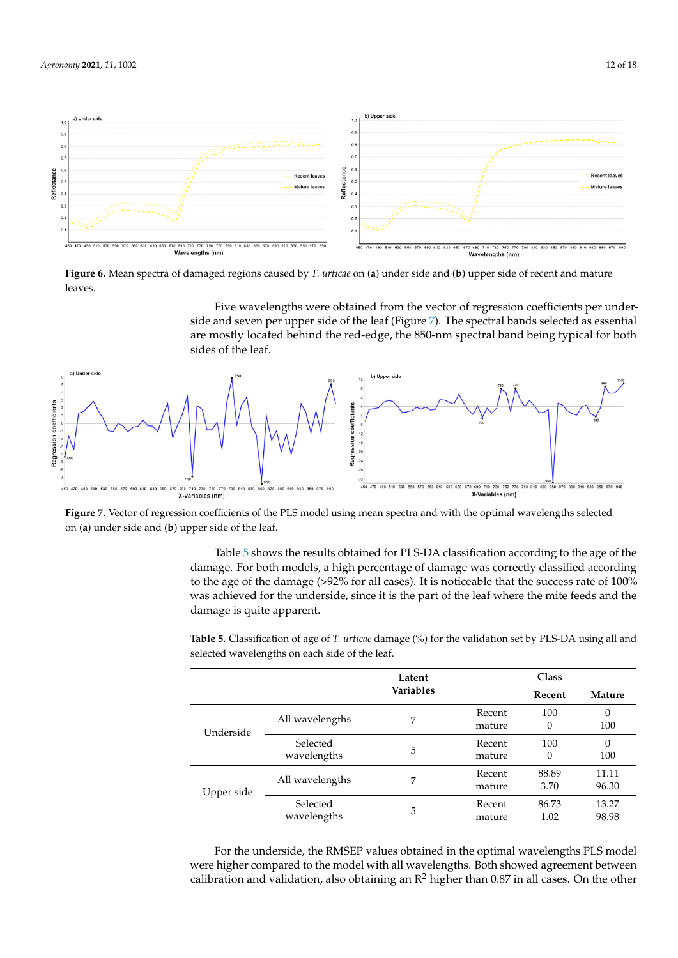<span id="page-11-0"></span>

**Figure 6.** Mean spectra of damaged regions caused by *T. urticae* on (**a**) under side and (**b**) upper side of recent and mature leaves.

Five wavelengths were obtained from the vector of regression coefficients per underside and seven per upper side of the leaf (Figure [7\)](#page-11-1). The spectral bands selected as essential are mostly located behind the red-edge, the 850-nm spectral band being typical for both sides of the leaf.

<span id="page-11-1"></span>

**Figure 7.** Vector of regression coefficients of the PLS model using mean spectra and with the optimal wavelengths selected on (**a**) under side and (**b**) upper side of the leaf.

Table [5](#page-11-2) shows the results obtained for PLS-DA classification according to the age of the damage. For both models, a high percentage of damage was correctly classified according to the age of the damage (>92% for all cases). It is noticeable that the success rate of 100% was achieved for the underside, since it is the part of the leaf where the mite feeds and the damage is quite apparent.

|            |                         | Latent           | Class            |               |                 |  |
|------------|-------------------------|------------------|------------------|---------------|-----------------|--|
|            |                         | <b>Variables</b> |                  | Recent        | <b>Mature</b>   |  |
| Underside  | All wavelengths         | 7                | Recent<br>mature | 100<br>0      | $\theta$<br>100 |  |
|            | Selected<br>wavelengths | 5                | Recent<br>mature | 100<br>0      | $\theta$<br>100 |  |
| Upper side | All wavelengths         | 7                | Recent<br>mature | 88.89<br>3.70 | 11.11<br>96.30  |  |
|            | Selected<br>wavelengths | 5                | Recent<br>mature | 86.73<br>1.02 | 13.27<br>98.98  |  |

<span id="page-11-2"></span>**Table 5.** Classification of age of *T. urticae* damage (%) for the validation set by PLS-DA using all and selected wavelengths on each side of the leaf.

For the underside, the RMSEP values obtained in the optimal wavelengths PLS model were higher compared to the model with all wavelengths. Both showed agreement between calibration and validation, also obtaining an  $\mathbb{R}^2$  higher than 0.87 in all cases. On the other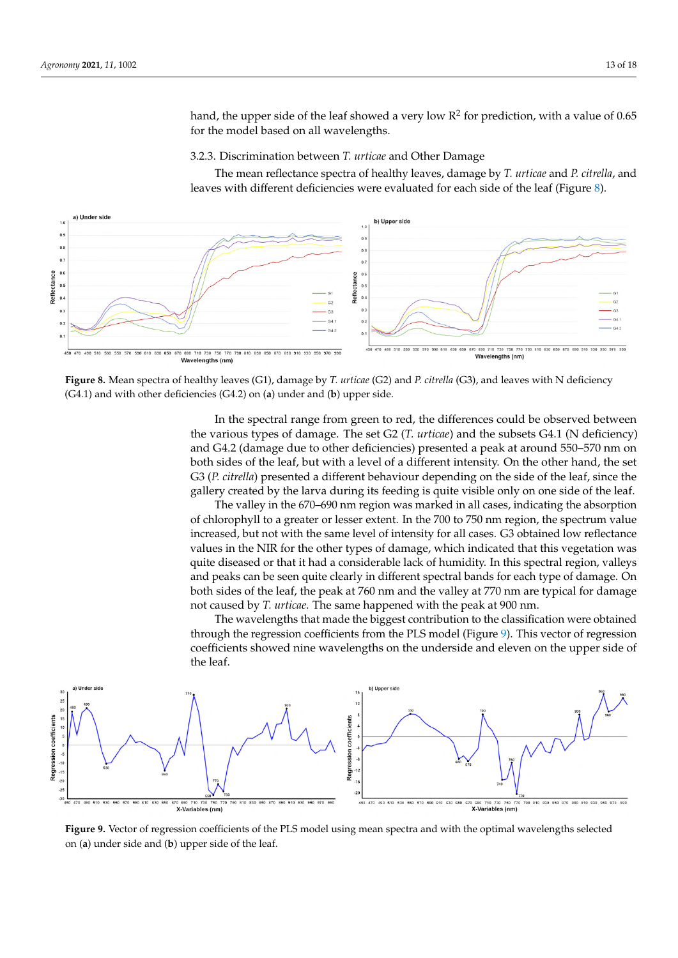hand, the upper side of the leaf showed a very low  $\mathsf{R}^2$  for prediction, with a value of 0.65 for the model based on all wavelengths.

3.2.3. Discrimination between *T. urticae* and Other Damage

The mean reflectance spectra of healthy leaves, damage by *T. urticae* and *P. citrella*, and leaves with different deficiencies were evaluated for each side of the leaf (Figure [8\)](#page-12-0).

<span id="page-12-0"></span>

**Figure 8.** Mean spectra of healthy leaves (G1), damage by *T. urticae* (G2) and *P. citrella* (G3), and leaves with N deficiency (G4.1) and with other deficiencies (G4.2) on (**a**) under and (**b**) upper side.

In the spectral range from green to red, the differences could be observed between the various types of damage. The set G2 (*T. urticae*) and the subsets G4.1 (N deficiency) and G4.2 (damage due to other deficiencies) presented a peak at around 550–570 nm on both sides of the leaf, but with a level of a different intensity. On the other hand, the set G3 (*P. citrella*) presented a different behaviour depending on the side of the leaf, since the gallery created by the larva during its feeding is quite visible only on one side of the leaf.

The valley in the 670–690 nm region was marked in all cases, indicating the absorption of chlorophyll to a greater or lesser extent. In the 700 to 750 nm region, the spectrum value increased, but not with the same level of intensity for all cases. G3 obtained low reflectance values in the NIR for the other types of damage, which indicated that this vegetation was quite diseased or that it had a considerable lack of humidity. In this spectral region, valleys and peaks can be seen quite clearly in different spectral bands for each type of damage. On both sides of the leaf, the peak at 760 nm and the valley at 770 nm are typical for damage not caused by *T. urticae*. The same happened with the peak at 900 nm.

The wavelengths that made the biggest contribution to the classification were obtained through the regression coefficients from the PLS model (Figure [9\)](#page-12-1). This vector of regression coefficients showed nine wavelengths on the underside and eleven on the upper side of the leaf.

<span id="page-12-1"></span>

**Figure 9.** Vector of regression coefficients of the PLS model using mean spectra and with the optimal wavelengths selected on (**a**) under side and (**b**) upper side of the leaf.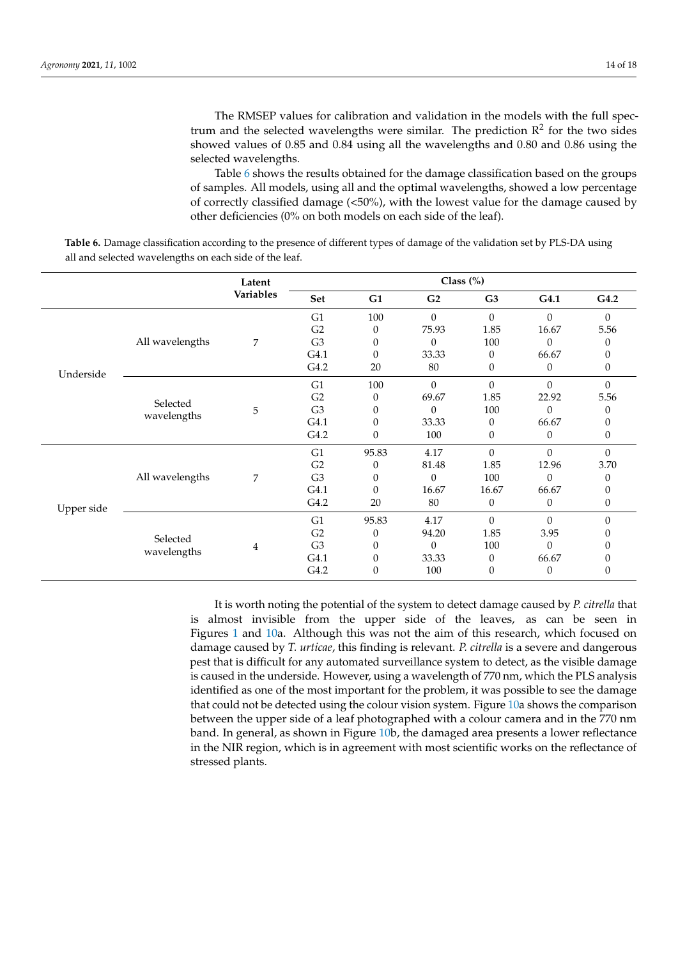The RMSEP values for calibration and validation in the models with the full spectrum and the selected wavelengths were similar. The prediction  $\mathbb{R}^2$  for the two sides showed values of 0.85 and 0.84 using all the wavelengths and 0.80 and 0.86 using the selected wavelengths.

Table [6](#page-13-0) shows the results obtained for the damage classification based on the groups of samples. All models, using all and the optimal wavelengths, showed a low percentage of correctly classified damage (<50%), with the lowest value for the damage caused by other deficiencies (0% on both models on each side of the leaf).

<span id="page-13-0"></span>**Table 6.** Damage classification according to the presence of different types of damage of the validation set by PLS-DA using all and selected wavelengths on each side of the leaf.

|            |                 | Latent    | Class $(\%)$   |       |                |                  |              |          |
|------------|-----------------|-----------|----------------|-------|----------------|------------------|--------------|----------|
|            |                 | Variables | Set            | G1    | G <sub>2</sub> | G <sub>3</sub>   | G4.1         | G4.2     |
|            |                 |           | G1             | 100   | $\Omega$       | $\Omega$         | $\Omega$     | $\theta$ |
|            |                 |           | G <sub>2</sub> | 0     | 75.93          | 1.85             | 16.67        | 5.56     |
|            | All wavelengths | 7         | G <sub>3</sub> | 0     | $\Omega$       | 100              | $\Omega$     | $\theta$ |
|            |                 |           | G4.1           | 0     | 33.33          | $\theta$         | 66.67        |          |
| Underside  |                 |           | G4.2           | 20    | 80             | 0                | $\mathbf{0}$ | 0        |
|            |                 |           | G <sub>1</sub> | 100   | $\theta$       | 0                | $\Omega$     | $\Omega$ |
|            | Selected        |           | G <sub>2</sub> | 0     | 69.67          | 1.85             | 22.92        | 5.56     |
|            | wavelengths     | 5         | G <sub>3</sub> | 0     | $\theta$       | 100              | $\theta$     | 0        |
|            |                 |           | G4.1           | 0     | 33.33          | 0                | 66.67        |          |
|            |                 |           | G4.2           | 0     | 100            | $\mathbf{0}$     | $\theta$     | 0        |
|            |                 |           | G1             | 95.83 | 4.17           | $\theta$         | $\Omega$     | $\Omega$ |
|            |                 | 7         | G2             | 0     | 81.48          | 1.85             | 12.96        | 3.70     |
|            | All wavelengths |           | G <sub>3</sub> | 0     | $\Omega$       | 100              | $\Omega$     | 0        |
|            |                 |           | G4.1           | 0     | 16.67          | 16.67            | 66.67        |          |
| Upper side |                 |           | G4.2           | 20    | 80             | $\boldsymbol{0}$ | $\theta$     | 0        |
|            |                 |           | G <sub>1</sub> | 95.83 | 4.17           | $\Omega$         | $\Omega$     | $\Omega$ |
|            | Selected        | 4         | G <sub>2</sub> | 0     | 94.20          | 1.85             | 3.95         |          |
|            | wavelengths     |           | G <sub>3</sub> | 0     | 0              | 100              | $\Omega$     |          |
|            |                 |           | G4.1           | 0     | 33.33          | $\theta$         | 66.67        |          |
|            |                 |           | G4.2           | 0     | 100            | 0                | $\theta$     | 0        |

It is worth noting the potential of the system to detect damage caused by *P. citrella* that is almost invisible from the upper side of the leaves, as can be seen in Figures [1](#page-3-0) and [10a](#page-14-0). Although this was not the aim of this research, which focused on damage caused by *T. urticae*, this finding is relevant. *P. citrella* is a severe and dangerous pest that is difficult for any automated surveillance system to detect, as the visible damage is caused in the underside. However, using a wavelength of 770 nm, which the PLS analysis identified as one of the most important for the problem, it was possible to see the damage that could not be detected using the colour vision system. Figure [10a](#page-14-0) shows the comparison between the upper side of a leaf photographed with a colour camera and in the 770 nm band. In general, as shown in Figure [10b](#page-14-0), the damaged area presents a lower reflectance in the NIR region, which is in agreement with most scientific works on the reflectance of stressed plants.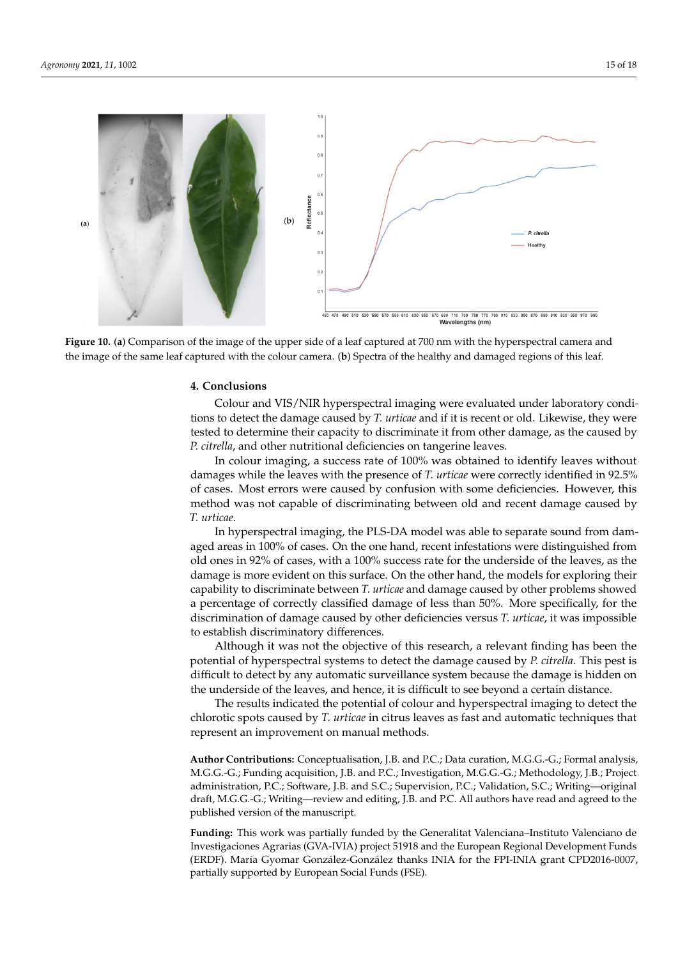<span id="page-14-0"></span>

**Figure 10.** (**a**) Comparison of the image of the upper side of a leaf captured at 700 nm with the hyperspectral camera and the image of the same leaf captured with the colour camera. (**b**) Spectra of the healthy and damaged regions of this leaf.

## **4. Conclusions**

Colour and VIS/NIR hyperspectral imaging were evaluated under laboratory conditions to detect the damage caused by *T. urticae* and if it is recent or old. Likewise, they were tested to determine their capacity to discriminate it from other damage, as the caused by *P. citrella*, and other nutritional deficiencies on tangerine leaves.

In colour imaging, a success rate of 100% was obtained to identify leaves without damages while the leaves with the presence of *T. urticae* were correctly identified in 92.5% of cases. Most errors were caused by confusion with some deficiencies. However, this method was not capable of discriminating between old and recent damage caused by *T. urticae*.

In hyperspectral imaging, the PLS-DA model was able to separate sound from damaged areas in 100% of cases. On the one hand, recent infestations were distinguished from old ones in 92% of cases, with a 100% success rate for the underside of the leaves, as the damage is more evident on this surface. On the other hand, the models for exploring their capability to discriminate between *T. urticae* and damage caused by other problems showed a percentage of correctly classified damage of less than 50%. More specifically, for the discrimination of damage caused by other deficiencies versus *T. urticae*, it was impossible to establish discriminatory differences.

Although it was not the objective of this research, a relevant finding has been the potential of hyperspectral systems to detect the damage caused by *P. citrella*. This pest is difficult to detect by any automatic surveillance system because the damage is hidden on the underside of the leaves, and hence, it is difficult to see beyond a certain distance.

The results indicated the potential of colour and hyperspectral imaging to detect the chlorotic spots caused by *T. urticae* in citrus leaves as fast and automatic techniques that represent an improvement on manual methods.

**Author Contributions:** Conceptualisation, J.B. and P.C.; Data curation, M.G.G.-G.; Formal analysis, M.G.G.-G.; Funding acquisition, J.B. and P.C.; Investigation, M.G.G.-G.; Methodology, J.B.; Project administration, P.C.; Software, J.B. and S.C.; Supervision, P.C.; Validation, S.C.; Writing—original draft, M.G.G.-G.; Writing—review and editing, J.B. and P.C. All authors have read and agreed to the published version of the manuscript.

**Funding:** This work was partially funded by the Generalitat Valenciana–Instituto Valenciano de Investigaciones Agrarias (GVA-IVIA) project 51918 and the European Regional Development Funds (ERDF). María Gyomar González-González thanks INIA for the FPI-INIA grant CPD2016-0007, partially supported by European Social Funds (FSE).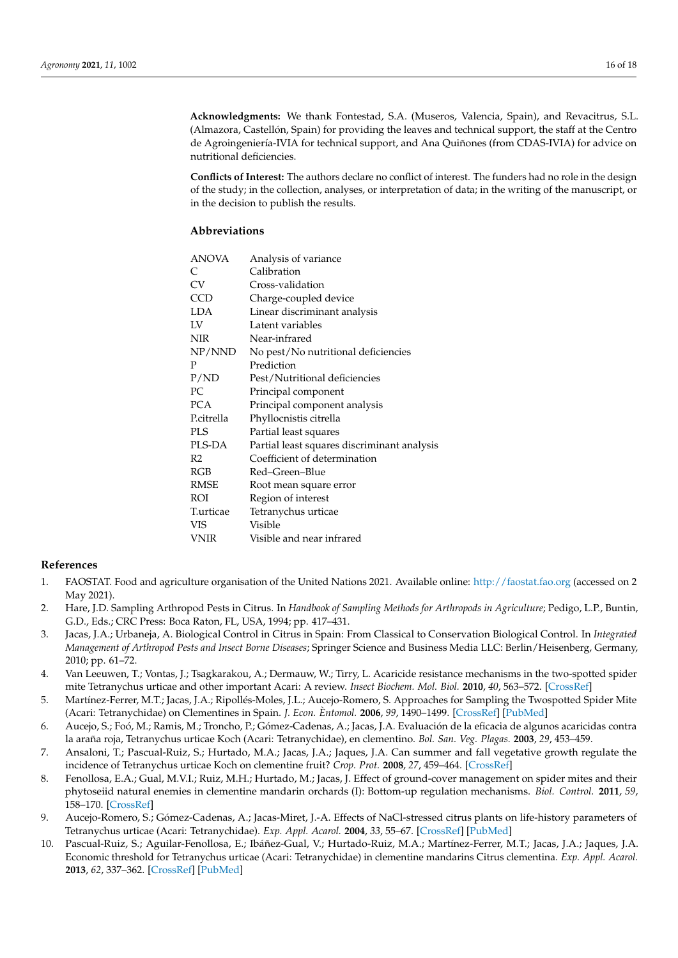**Acknowledgments:** We thank Fontestad, S.A. (Museros, Valencia, Spain), and Revacitrus, S.L. (Almazora, Castellón, Spain) for providing the leaves and technical support, the staff at the Centro de Agroingeniería-IVIA for technical support, and Ana Quiñones (from CDAS-IVIA) for advice on nutritional deficiencies.

**Conflicts of Interest:** The authors declare no conflict of interest. The funders had no role in the design of the study; in the collection, analyses, or interpretation of data; in the writing of the manuscript, or in the decision to publish the results.

# **Abbreviations**

| <b>ANOVA</b>   | Analysis of variance                        |
|----------------|---------------------------------------------|
| C              | Calibration                                 |
| CV             | Cross-validation                            |
| CCD            | Charge-coupled device                       |
| LDA            | Linear discriminant analysis                |
| LV             | Latent variables                            |
| <b>NIR</b>     | Near-infrared                               |
| NP/NND         | No pest/No nutritional deficiencies         |
| P              | Prediction                                  |
| P/ND           | Pest/Nutritional deficiencies               |
| PC.            | Principal component                         |
| <b>PCA</b>     | Principal component analysis                |
| P.citrella     | Phyllocnistis citrella                      |
| <b>PLS</b>     | Partial least squares                       |
| PLS-DA         | Partial least squares discriminant analysis |
| R <sub>2</sub> | Coefficient of determination                |
| RGB            | Red-Green-Blue                              |
| RMSE           | Root mean square error                      |
| ROI            | Region of interest                          |
| T.urticae      | Tetranychus urticae                         |
| VIS            | Visible                                     |
| VNIR           | Visible and near infrared                   |

# **References**

- <span id="page-15-0"></span>1. FAOSTAT. Food and agriculture organisation of the United Nations 2021. Available online: <http://faostat.fao.org> (accessed on 2 May 2021).
- <span id="page-15-1"></span>2. Hare, J.D. Sampling Arthropod Pests in Citrus. In *Handbook of Sampling Methods for Arthropods in Agriculture*; Pedigo, L.P., Buntin, G.D., Eds.; CRC Press: Boca Raton, FL, USA, 1994; pp. 417–431.
- <span id="page-15-2"></span>3. Jacas, J.A.; Urbaneja, A. Biological Control in Citrus in Spain: From Classical to Conservation Biological Control. In *Integrated Management of Arthropod Pests and Insect Borne Diseases*; Springer Science and Business Media LLC: Berlin/Heisenberg, Germany, 2010; pp. 61–72.
- <span id="page-15-3"></span>4. Van Leeuwen, T.; Vontas, J.; Tsagkarakou, A.; Dermauw, W.; Tirry, L. Acaricide resistance mechanisms in the two-spotted spider mite Tetranychus urticae and other important Acari: A review. *Insect Biochem. Mol. Biol.* **2010**, *40*, 563–572. [\[CrossRef\]](http://doi.org/10.1016/j.ibmb.2010.05.008)
- <span id="page-15-4"></span>5. Martínez-Ferrer, M.T.; Jacas, J.A.; Ripollés-Moles, J.L.; Aucejo-Romero, S. Approaches for Sampling the Twospotted Spider Mite (Acari: Tetranychidae) on Clementines in Spain. *J. Econ. Èntomol.* **2006**, *99*, 1490–1499. [\[CrossRef\]](http://doi.org/10.1603/0022-0493-99.4.1490) [\[PubMed\]](http://www.ncbi.nlm.nih.gov/pubmed/16937708)
- <span id="page-15-8"></span>6. Aucejo, S.; Foó, M.; Ramis, M.; Troncho, P.; Gómez-Cadenas, A.; Jacas, J.A. Evaluación de la eficacia de algunos acaricidas contra la araña roja, Tetranychus urticae Koch (Acari: Tetranychidae), en clementino. *Bol. San. Veg. Plagas.* **2003**, *29*, 453–459.
- <span id="page-15-5"></span>7. Ansaloni, T.; Pascual-Ruiz, S.; Hurtado, M.A.; Jacas, J.A.; Jaques, J.A. Can summer and fall vegetative growth regulate the incidence of Tetranychus urticae Koch on clementine fruit? *Crop. Prot.* **2008**, *27*, 459–464. [\[CrossRef\]](http://doi.org/10.1016/j.cropro.2007.07.016)
- <span id="page-15-6"></span>8. Fenollosa, E.A.; Gual, M.V.I.; Ruiz, M.H.; Hurtado, M.; Jacas, J. Effect of ground-cover management on spider mites and their phytoseiid natural enemies in clementine mandarin orchards (I): Bottom-up regulation mechanisms. *Biol. Control.* **2011**, *59*, 158–170. [\[CrossRef\]](http://doi.org/10.1016/j.biocontrol.2011.06.013)
- 9. Aucejo-Romero, S.; Gómez-Cadenas, A.; Jacas-Miret, J.-A. Effects of NaCl-stressed citrus plants on life-history parameters of Tetranychus urticae (Acari: Tetranychidae). *Exp. Appl. Acarol.* **2004**, *33*, 55–67. [\[CrossRef\]](http://doi.org/10.1023/B:APPA.0000030026.77800.0c) [\[PubMed\]](http://www.ncbi.nlm.nih.gov/pubmed/15285138)
- <span id="page-15-7"></span>10. Pascual-Ruiz, S.; Aguilar-Fenollosa, E.; Ibáñez-Gual, V.; Hurtado-Ruiz, M.A.; Martínez-Ferrer, M.T.; Jacas, J.A.; Jaques, J.A. Economic threshold for Tetranychus urticae (Acari: Tetranychidae) in clementine mandarins Citrus clementina. *Exp. Appl. Acarol.* **2013**, *62*, 337–362. [\[CrossRef\]](http://doi.org/10.1007/s10493-013-9744-0) [\[PubMed\]](http://www.ncbi.nlm.nih.gov/pubmed/24122147)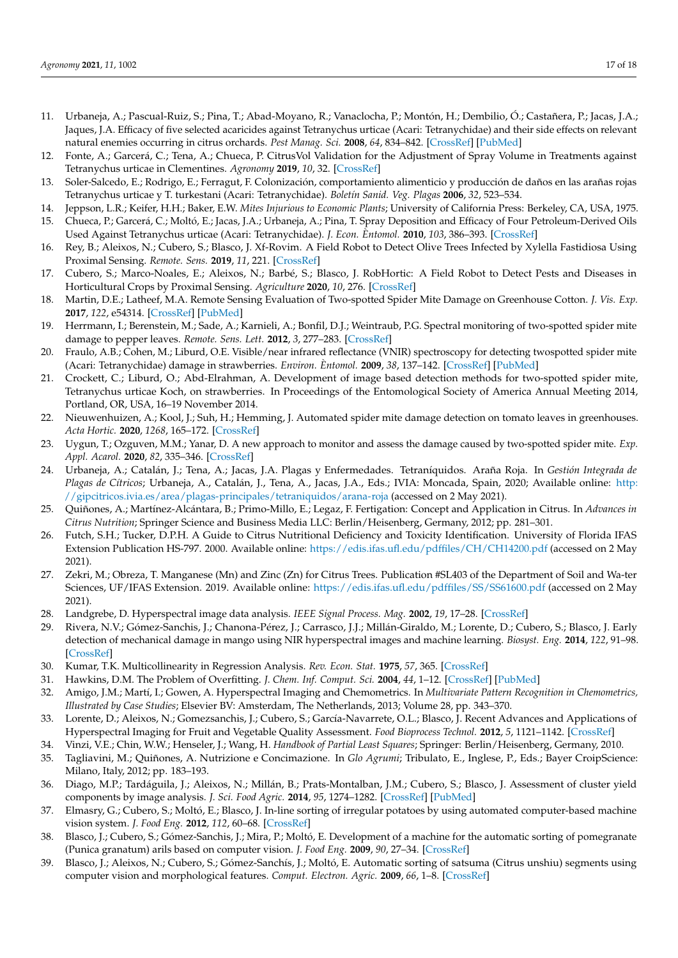- <span id="page-16-0"></span>11. Urbaneja, A.; Pascual-Ruiz, S.; Pina, T.; Abad-Moyano, R.; Vanaclocha, P.; Montón, H.; Dembilio, Ó.; Castañera, P.; Jacas, J.A.; Jaques, J.A. Efficacy of five selected acaricides against Tetranychus urticae (Acari: Tetranychidae) and their side effects on relevant natural enemies occurring in citrus orchards. *Pest Manag. Sci.* **2008**, *64*, 834–842. [\[CrossRef\]](http://doi.org/10.1002/ps.1572) [\[PubMed\]](http://www.ncbi.nlm.nih.gov/pubmed/18383196)
- <span id="page-16-1"></span>12. Fonte, A.; Garcerá, C.; Tena, A.; Chueca, P. CitrusVol Validation for the Adjustment of Spray Volume in Treatments against Tetranychus urticae in Clementines. *Agronomy* **2019**, *10*, 32. [\[CrossRef\]](http://doi.org/10.3390/agronomy10010032)
- <span id="page-16-2"></span>13. Soler-Salcedo, E.; Rodrigo, E.; Ferragut, F. Colonización, comportamiento alimenticio y producción de daños en las arañas rojas Tetranychus urticae y T. turkestani (Acari: Tetranychidae). *Boletín Sanid. Veg. Plagas* **2006**, *32*, 523–534.
- <span id="page-16-3"></span>14. Jeppson, L.R.; Keifer, H.H.; Baker, E.W. *Mites Injurious to Economic Plants*; University of California Press: Berkeley, CA, USA, 1975.
- <span id="page-16-4"></span>15. Chueca, P.; Garcerá, C.; Moltó, E.; Jacas, J.A.; Urbaneja, A.; Pina, T. Spray Deposition and Efficacy of Four Petroleum-Derived Oils Used Against Tetranychus urticae (Acari: Tetranychidae). *J. Econ. Èntomol.* **2010**, *103*, 386–393. [\[CrossRef\]](http://doi.org/10.1603/EC09242)
- <span id="page-16-5"></span>16. Rey, B.; Aleixos, N.; Cubero, S.; Blasco, J. Xf-Rovim. A Field Robot to Detect Olive Trees Infected by Xylella Fastidiosa Using Proximal Sensing. *Remote. Sens.* **2019**, *11*, 221. [\[CrossRef\]](http://doi.org/10.3390/rs11030221)
- <span id="page-16-6"></span>17. Cubero, S.; Marco-Noales, E.; Aleixos, N.; Barbé, S.; Blasco, J. RobHortic: A Field Robot to Detect Pests and Diseases in Horticultural Crops by Proximal Sensing. *Agriculture* **2020**, *10*, 276. [\[CrossRef\]](http://doi.org/10.3390/agriculture10070276)
- <span id="page-16-7"></span>18. Martin, D.E.; Latheef, M.A. Remote Sensing Evaluation of Two-spotted Spider Mite Damage on Greenhouse Cotton. *J. Vis. Exp.* **2017**, *122*, e54314. [\[CrossRef\]](http://doi.org/10.3791/54314) [\[PubMed\]](http://www.ncbi.nlm.nih.gov/pubmed/28518067)
- <span id="page-16-8"></span>19. Herrmann, I.; Berenstein, M.; Sade, A.; Karnieli, A.; Bonfil, D.J.; Weintraub, P.G. Spectral monitoring of two-spotted spider mite damage to pepper leaves. *Remote. Sens. Lett.* **2012**, *3*, 277–283. [\[CrossRef\]](http://doi.org/10.1080/01431161.2011.576709)
- <span id="page-16-9"></span>20. Fraulo, A.B.; Cohen, M.; Liburd, O.E. Visible/near infrared reflectance (VNIR) spectroscopy for detecting twospotted spider mite (Acari: Tetranychidae) damage in strawberries. *Environ. Èntomol.* **2009**, *38*, 137–142. [\[CrossRef\]](http://doi.org/10.1603/022.038.0117) [\[PubMed\]](http://www.ncbi.nlm.nih.gov/pubmed/19791607)
- <span id="page-16-10"></span>21. Crockett, C.; Liburd, O.; Abd-Elrahman, A. Development of image based detection methods for two-spotted spider mite, Tetranychus urticae Koch, on strawberries. In Proceedings of the Entomological Society of America Annual Meeting 2014, Portland, OR, USA, 16–19 November 2014.
- <span id="page-16-11"></span>22. Nieuwenhuizen, A.; Kool, J.; Suh, H.; Hemming, J. Automated spider mite damage detection on tomato leaves in greenhouses. *Acta Hortic.* **2020**, *1268*, 165–172. [\[CrossRef\]](http://doi.org/10.17660/ActaHortic.2020.1268.21)
- <span id="page-16-12"></span>23. Uygun, T.; Ozguven, M.M.; Yanar, D. A new approach to monitor and assess the damage caused by two-spotted spider mite. *Exp. Appl. Acarol.* **2020**, *82*, 335–346. [\[CrossRef\]](http://doi.org/10.1007/s10493-020-00561-8)
- <span id="page-16-13"></span>24. Urbaneja, A.; Catalán, J.; Tena, A.; Jacas, J.A. Plagas y Enfermedades. Tetraníquidos. Araña Roja. In *Gestión Integrada de Plagas de Cítricos*; Urbaneja, A., Catalán, J., Tena, A., Jacas, J.A., Eds.; IVIA: Moncada, Spain, 2020; Available online: [http:](http://gipcitricos.ivia.es/area/plagas-principales/tetraniquidos/arana-roja) [//gipcitricos.ivia.es/area/plagas-principales/tetraniquidos/arana-roja](http://gipcitricos.ivia.es/area/plagas-principales/tetraniquidos/arana-roja) (accessed on 2 May 2021).
- <span id="page-16-14"></span>25. Quiñones, A.; Martínez-Alcántara, B.; Primo-Millo, E.; Legaz, F. Fertigation: Concept and Application in Citrus. In *Advances in Citrus Nutrition*; Springer Science and Business Media LLC: Berlin/Heisenberg, Germany, 2012; pp. 281–301.
- <span id="page-16-15"></span>26. Futch, S.H.; Tucker, D.P.H. A Guide to Citrus Nutritional Deficiency and Toxicity Identification. University of Florida IFAS Extension Publication HS-797. 2000. Available online: <https://edis.ifas.ufl.edu/pdffiles/CH/CH14200.pdf> (accessed on 2 May 2021).
- <span id="page-16-16"></span>27. Zekri, M.; Obreza, T. Manganese (Mn) and Zinc (Zn) for Citrus Trees. Publication #SL403 of the Department of Soil and Wa-ter Sciences, UF/IFAS Extension. 2019. Available online: <https://edis.ifas.ufl.edu/pdffiles/SS/SS61600.pdf> (accessed on 2 May 2021).
- <span id="page-16-17"></span>28. Landgrebe, D. Hyperspectral image data analysis. *IEEE Signal Process. Mag.* **2002**, *19*, 17–28. [\[CrossRef\]](http://doi.org/10.1109/79.974718)
- <span id="page-16-18"></span>29. Rivera, N.V.; Gómez-Sanchis, J.; Chanona-Pérez, J.; Carrasco, J.J.; Millán-Giraldo, M.; Lorente, D.; Cubero, S.; Blasco, J. Early detection of mechanical damage in mango using NIR hyperspectral images and machine learning. *Biosyst. Eng.* **2014**, *122*, 91–98. [\[CrossRef\]](http://doi.org/10.1016/j.biosystemseng.2014.03.009)
- <span id="page-16-19"></span>30. Kumar, T.K. Multicollinearity in Regression Analysis. *Rev. Econ. Stat.* **1975**, *57*, 365. [\[CrossRef\]](http://doi.org/10.2307/1923925)
- <span id="page-16-20"></span>31. Hawkins, D.M. The Problem of Overfitting. *J. Chem. Inf. Comput. Sci.* **2004**, *44*, 1–12. [\[CrossRef\]](http://doi.org/10.1021/ci0342472) [\[PubMed\]](http://www.ncbi.nlm.nih.gov/pubmed/14741005)
- <span id="page-16-21"></span>32. Amigo, J.M.; Martí, I.; Gowen, A. Hyperspectral Imaging and Chemometrics. In *Multivariate Pattern Recognition in Chemometrics, Illustrated by Case Studies*; Elsevier BV: Amsterdam, The Netherlands, 2013; Volume 28, pp. 343–370.
- <span id="page-16-22"></span>33. Lorente, D.; Aleixos, N.; Gomezsanchis, J.; Cubero, S.; García-Navarrete, O.L.; Blasco, J. Recent Advances and Applications of Hyperspectral Imaging for Fruit and Vegetable Quality Assessment. *Food Bioprocess Technol.* **2012**, *5*, 1121–1142. [\[CrossRef\]](http://doi.org/10.1007/s11947-011-0725-1)
- <span id="page-16-23"></span>34. Vinzi, V.E.; Chin, W.W.; Henseler, J.; Wang, H. *Handbook of Partial Least Squares*; Springer: Berlin/Heisenberg, Germany, 2010.
- <span id="page-16-24"></span>35. Tagliavini, M.; Quiñones, A. Nutrizione e Concimazione. In *Glo Agrumi*; Tribulato, E., Inglese, P., Eds.; Bayer CroipScience: Milano, Italy, 2012; pp. 183–193.
- <span id="page-16-25"></span>36. Diago, M.P.; Tardáguila, J.; Aleixos, N.; Millán, B.; Prats-Montalban, J.M.; Cubero, S.; Blasco, J. Assessment of cluster yield components by image analysis. *J. Sci. Food Agric.* **2014**, *95*, 1274–1282. [\[CrossRef\]](http://doi.org/10.1002/jsfa.6819) [\[PubMed\]](http://www.ncbi.nlm.nih.gov/pubmed/25041796)
- <span id="page-16-26"></span>37. Elmasry, G.; Cubero, S.; Moltó, E.; Blasco, J. In-line sorting of irregular potatoes by using automated computer-based machine vision system. *J. Food Eng.* **2012**, *112*, 60–68. [\[CrossRef\]](http://doi.org/10.1016/j.jfoodeng.2012.03.027)
- <span id="page-16-27"></span>38. Blasco, J.; Cubero, S.; Gómez-Sanchis, J.; Mira, P.; Moltó, E. Development of a machine for the automatic sorting of pomegranate (Punica granatum) arils based on computer vision. *J. Food Eng.* **2009**, *90*, 27–34. [\[CrossRef\]](http://doi.org/10.1016/j.jfoodeng.2008.05.035)
- <span id="page-16-28"></span>39. Blasco, J.; Aleixos, N.; Cubero, S.; Gómez-Sanchís, J.; Moltó, E. Automatic sorting of satsuma (Citrus unshiu) segments using computer vision and morphological features. *Comput. Electron. Agric.* **2009**, *66*, 1–8. [\[CrossRef\]](http://doi.org/10.1016/j.compag.2008.11.006)